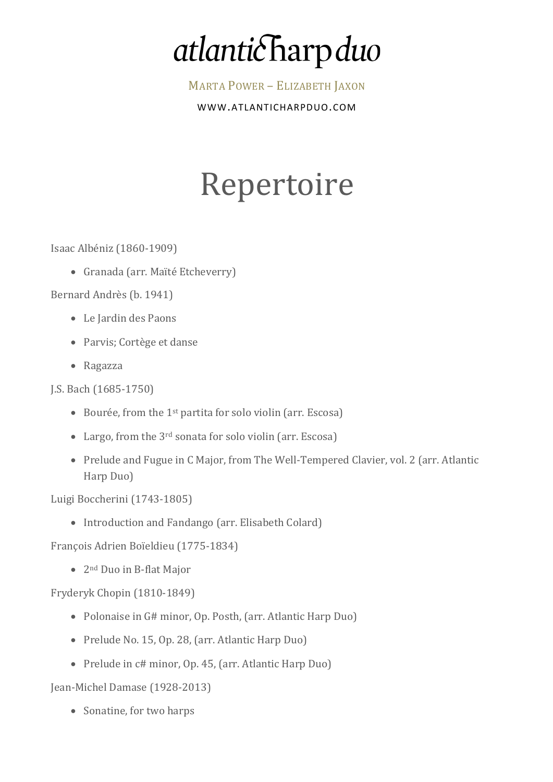## atlanticharp duo

MARTA POWER - ELIZABETH JAXON

WWW.ATLANTICHARPDUO.COM

## Repertoire

Isaac Albéniz (1860-1909) 

• Granada (arr. Maïté Etcheverry)

Bernard Andrès (b. 1941)

- Le Jardin des Paons
- Parvis; Cortège et danse
- Ragazza

- Bourée, from the  $1<sup>st</sup>$  partita for solo violin (arr. Escosa)
- Largo, from the  $3<sup>rd</sup>$  sonata for solo violin (arr. Escosa)
- Prelude and Fugue in C Major, from The Well-Tempered Clavier, vol. 2 (arr. Atlantic Harp Duo)

Luigi Boccherini (1743-1805)

• Introduction and Fandango (arr. Elisabeth Colard)

François Adrien Boïeldieu (1775-1834)

•  $2<sup>nd</sup>$  Duo in B-flat Major

Fryderyk Chopin (1810-1849)

- Polonaise in G# minor, Op. Posth, (arr. Atlantic Harp Duo)
- Prelude No. 15, Op. 28, (arr. Atlantic Harp Duo)
- Prelude in c# minor, Op. 45, (arr. Atlantic Harp Duo)

Jean-Michel Damase (1928-2013)

• Sonatine, for two harps

J.S. Bach (1685-1750)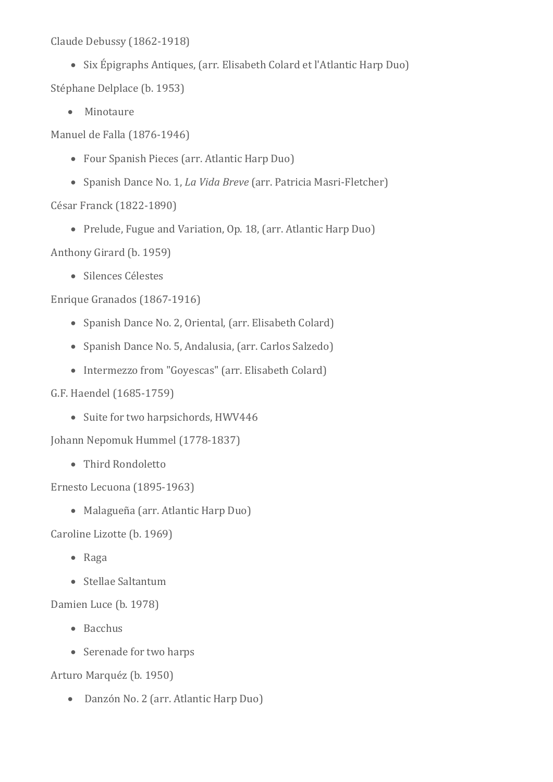Claude Debussy (1862-1918)

• Six Épigraphs Antiques, (arr. Elisabeth Colard et l'Atlantic Harp Duo) Stéphane Delplace (b. 1953)

• Minotaure

Manuel de Falla (1876-1946)

- Four Spanish Pieces (arr. Atlantic Harp Duo)
- Spanish Dance No. 1, *La Vida Breve* (arr. Patricia Masri-Fletcher)

César Franck (1822-1890)

• Prelude, Fugue and Variation, Op. 18, (arr. Atlantic Harp Duo)

Anthony Girard (b. 1959)

• Silences Célestes

Enrique Granados (1867-1916)

- Spanish Dance No. 2, Oriental, (arr. Elisabeth Colard)
- Spanish Dance No. 5, Andalusia, (arr. Carlos Salzedo)
- Intermezzo from "Goyescas" (arr. Elisabeth Colard)

## G.F. Haendel (1685-1759)

• Suite for two harpsichords, HWV446

Johann Nepomuk Hummel (1778-1837)

• Third Rondoletto

Ernesto Lecuona (1895-1963)

• Malagueña (arr. Atlantic Harp Duo)

Caroline Lizotte (b. 1969)

- Raga
- Stellae Saltantum

Damien Luce (b. 1978)

- Bacchus
- Serenade for two harps

Arturo Marquéz (b. 1950)

• Danzón No. 2 (arr. Atlantic Harp Duo)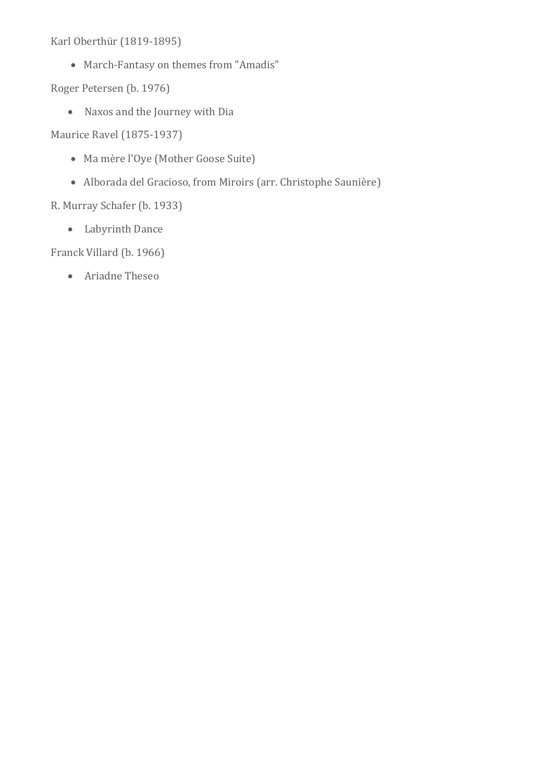Karl Oberthür (1819-1895)

• March-Fantasy on themes from "Amadis"

Roger Petersen (b. 1976)

• Naxos and the Journey with Dia

Maurice Ravel (1875-1937)

- Ma mère l'Oye (Mother Goose Suite)
- Alborada del Gracioso, from Miroirs (arr. Christophe Saunière)

R. Murray Schafer (b. 1933)

• Labyrinth Dance

Franck Villard (b. 1966)

• Ariadne Theseo